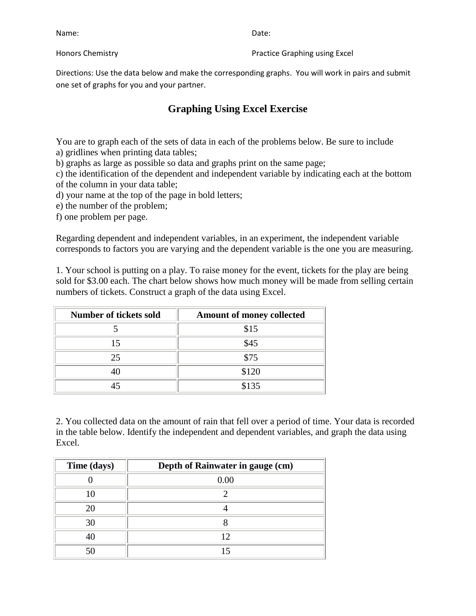| Name:            | Date:                         |
|------------------|-------------------------------|
| Honors Chemistry | Practice Graphing using Excel |

Directions: Use the data below and make the corresponding graphs. You will work in pairs and submit one set of graphs for you and your partner.

## **Graphing Using Excel Exercise**

You are to graph each of the sets of data in each of the problems below. Be sure to include a) gridlines when printing data tables;

b) graphs as large as possible so data and graphs print on the same page;

c) the identification of the dependent and independent variable by indicating each at the bottom of the column in your data table;

- d) your name at the top of the page in bold letters;
- e) the number of the problem;

f) one problem per page.

Regarding dependent and independent variables, in an experiment, the independent variable corresponds to factors you are varying and the dependent variable is the one you are measuring.

1. Your school is putting on a play. To raise money for the event, tickets for the play are being sold for \$3.00 each. The chart below shows how much money will be made from selling certain numbers of tickets. Construct a graph of the data using Excel.

| <b>Number of tickets sold</b> | <b>Amount of money collected</b> |
|-------------------------------|----------------------------------|
|                               | \$15                             |
|                               | \$45                             |
| 25                            | \$75                             |
|                               | \$120                            |
|                               | \$135                            |

2. You collected data on the amount of rain that fell over a period of time. Your data is recorded in the table below. Identify the independent and dependent variables, and graph the data using Excel.

| Time (days) | Depth of Rainwater in gauge (cm) |
|-------------|----------------------------------|
|             | 0.00                             |
|             |                                  |
| 20          |                                  |
| 30          |                                  |
|             | 12                               |
| 50          |                                  |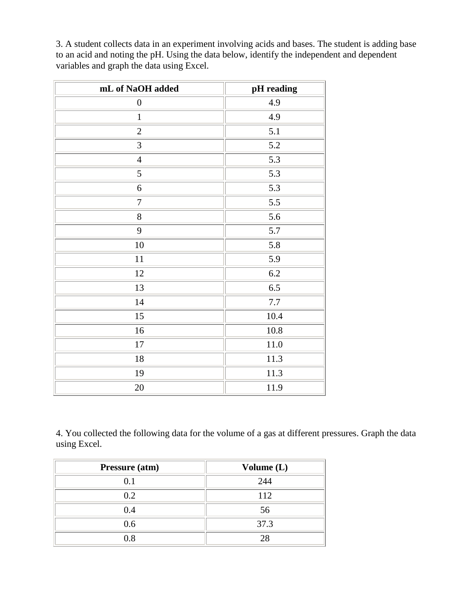3. A student collects data in an experiment involving acids and bases. The student is adding base to an acid and noting the pH. Using the data below, identify the independent and dependent variables and graph the data using Excel.

| mL of NaOH added | pH reading |
|------------------|------------|
| $\boldsymbol{0}$ | 4.9        |
| $\mathbf{1}$     | 4.9        |
| $\sqrt{2}$       | 5.1        |
| 3                | 5.2        |
| $\overline{4}$   | 5.3        |
| 5                | 5.3        |
| $\boldsymbol{6}$ | 5.3        |
| $\boldsymbol{7}$ | 5.5        |
| $8\,$            | 5.6        |
| 9                | 5.7        |
| $10\,$           | 5.8        |
| 11               | 5.9        |
| 12               | 6.2        |
| 13               | 6.5        |
| 14               | 7.7        |
| 15               | 10.4       |
| 16               | 10.8       |
| 17               | 11.0       |
| 18               | 11.3       |
| 19               | 11.3       |
| $20\,$           | 11.9       |

4. You collected the following data for the volume of a gas at different pressures. Graph the data using Excel.

| Pressure (atm) | Volume $(L)$ |
|----------------|--------------|
| 0.1            | 244          |
| 0.2            | 112          |
| 0.4            | 56           |
| 0.6            | 37.3         |
| ገ Ջ            | 28           |